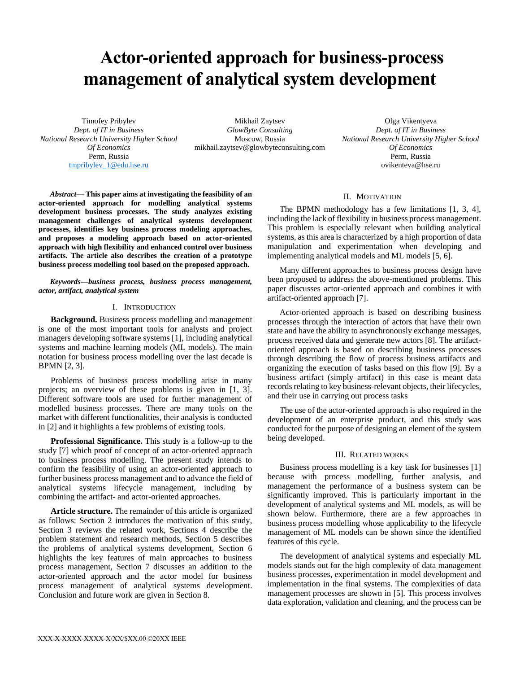# **Actor-oriented approach for business-process management of analytical system development**

Timofey Pribylev *Dept. of IT in Business National Research University Higher School Of Economics* Perm, Russia [tmpribylev\\_1@edu.hse.ru](mailto:tmpribylev_1@edu.hse.ru)

Mikhail Zaytsev *GlowByte Consulting* Moscow, Russia mikhail.zaytsev@glowbyteconsulting.com

Olga Vikentyeva *Dept. of IT in Business National Research University Higher School Of Economics* Perm, Russia ovikenteva@hse.ru

*Abstract***— This paper aims at investigating the feasibility of an actor-oriented approach for modelling analytical systems development business processes. The study analyzes existing management challenges of analytical systems development processes, identifies key business process modeling approaches, and proposes a modeling approach based on actor-oriented approach with high flexibility and enhanced control over business artifacts. The article also describes the creation of a prototype business process modelling tool based on the proposed approach.**

*Keywords—business process, business process management, actor, artifact, analytical system*

# I. INTRODUCTION

**Background.** Business process modelling and management is one of the most important tools for analysts and project managers developing software systems [1], including analytical systems and machine learning models (ML models). The main notation for business process modelling over the last decade is BPMN [2, 3].

Problems of business process modelling arise in many projects; an overview of these problems is given in [1, 3]. Different software tools are used for further management of modelled business processes. There are many tools on the market with different functionalities, their analysis is conducted in [2] and it highlights a few problems of existing tools.

**Professional Significance.** This study is a follow-up to the study [7] which proof of concept of an actor-oriented approach to business process modelling. The present study intends to confirm the feasibility of using an actor-oriented approach to further business process management and to advance the field of analytical systems lifecycle management, including by combining the artifact- and actor-oriented approaches.

**Article structure.** The remainder of this article is organized as follows: Section 2 introduces the motivation of this study, Section 3 reviews the related work, Sections 4 describe the problem statement and research methods, Section 5 describes the problems of analytical systems development, Section 6 highlights the key features of main approaches to business process management, Section 7 discusses an addition to the actor-oriented approach and the actor model for business process management of analytical systems development. Conclusion and future work are given in Section 8.

# II. MOTIVATION

The BPMN methodology has a few limitations [1, 3, 4], including the lack of flexibility in business process management. This problem is especially relevant when building analytical systems, as this area is characterized by a high proportion of data manipulation and experimentation when developing and implementing analytical models and ML models [5, 6].

Many different approaches to business process design have been proposed to address the above-mentioned problems. This paper discusses actor-oriented approach and combines it with artifact-oriented approach [7].

Actor-oriented approach is based on describing business processes through the interaction of actors that have their own state and have the ability to asynchronously exchange messages, process received data and generate new actors [8]. The artifactoriented approach is based on describing business processes through describing the flow of process business artifacts and organizing the execution of tasks based on this flow [9]. By a business artifact (simply artifact) in this case is meant data records relating to key business-relevant objects, their lifecycles, and their use in carrying out process tasks

The use of the actor-oriented approach is also required in the development of an enterprise product, and this study was conducted for the purpose of designing an element of the system being developed.

#### III. RELATED WORKS

Business process modelling is a key task for businesses [1] because with process modelling, further analysis, and management the performance of a business system can be significantly improved. This is particularly important in the development of analytical systems and ML models, as will be shown below. Furthermore, there are a few approaches in business process modelling whose applicability to the lifecycle management of ML models can be shown since the identified features of this cycle.

The development of analytical systems and especially ML models stands out for the high complexity of data management business processes, experimentation in model development and implementation in the final systems. The complexities of data management processes are shown in [5]. This process involves data exploration, validation and cleaning, and the process can be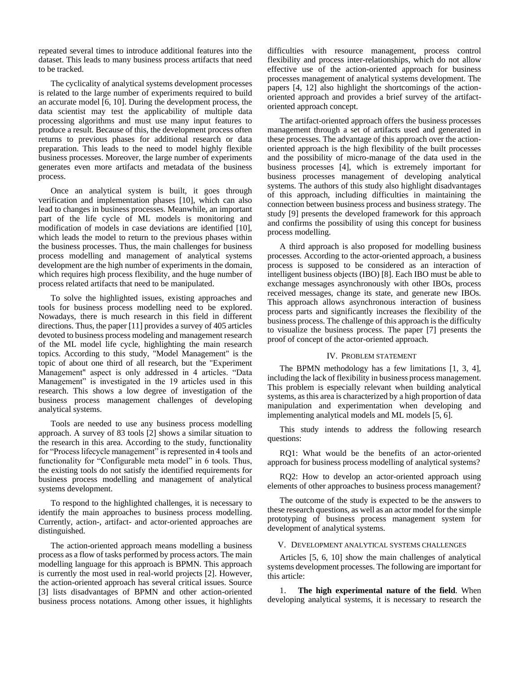repeated several times to introduce additional features into the dataset. This leads to many business process artifacts that need to be tracked.

The cyclicality of analytical systems development processes is related to the large number of experiments required to build an accurate model [6, 10]. During the development process, the data scientist may test the applicability of multiple data processing algorithms and must use many input features to produce a result. Because of this, the development process often returns to previous phases for additional research or data preparation. This leads to the need to model highly flexible business processes. Moreover, the large number of experiments generates even more artifacts and metadata of the business process.

Once an analytical system is built, it goes through verification and implementation phases [10], which can also lead to changes in business processes. Meanwhile, an important part of the life cycle of ML models is monitoring and modification of models in case deviations are identified [10], which leads the model to return to the previous phases within the business processes. Thus, the main challenges for business process modelling and management of analytical systems development are the high number of experiments in the domain, which requires high process flexibility, and the huge number of process related artifacts that need to be manipulated.

To solve the highlighted issues, existing approaches and tools for business process modelling need to be explored. Nowadays, there is much research in this field in different directions. Thus, the paper [11] provides a survey of 405 articles devoted to business process modeling and management research of the ML model life cycle, highlighting the main research topics. According to this study, "Model Management" is the topic of about one third of all research, but the "Experiment Management" aspect is only addressed in 4 articles. "Data Management" is investigated in the 19 articles used in this research. This shows a low degree of investigation of the business process management challenges of developing analytical systems.

Tools are needed to use any business process modelling approach. A survey of 83 tools [2] shows a similar situation to the research in this area. According to the study, functionality for "Process lifecycle management" is represented in 4 tools and functionality for "Configurable meta model" in 6 tools. Thus, the existing tools do not satisfy the identified requirements for business process modelling and management of analytical systems development.

To respond to the highlighted challenges, it is necessary to identify the main approaches to business process modelling. Currently, action-, artifact- and actor-oriented approaches are distinguished.

The action-oriented approach means modelling a business process as a flow of tasks performed by process actors. The main modelling language for this approach is BPMN. This approach is currently the most used in real-world projects [2]. However, the action-oriented approach has several critical issues. Source [3] lists disadvantages of BPMN and other action-oriented business process notations. Among other issues, it highlights

difficulties with resource management, process control flexibility and process inter-relationships, which do not allow effective use of the action-oriented approach for business processes management of analytical systems development. The papers [4, 12] also highlight the shortcomings of the actionoriented approach and provides a brief survey of the artifactoriented approach concept.

The artifact-oriented approach offers the business processes management through a set of artifacts used and generated in these processes. The advantage of this approach over the actionoriented approach is the high flexibility of the built processes and the possibility of micro-manage of the data used in the business processes [4], which is extremely important for business processes management of developing analytical systems. The authors of this study also highlight disadvantages of this approach, including difficulties in maintaining the connection between business process and business strategy. The study [9] presents the developed framework for this approach and confirms the possibility of using this concept for business process modelling.

A third approach is also proposed for modelling business processes. According to the actor-oriented approach, a business process is supposed to be considered as an interaction of intelligent business objects (IBO) [8]. Each IBO must be able to exchange messages asynchronously with other IBOs, process received messages, change its state, and generate new IBOs. This approach allows asynchronous interaction of business process parts and significantly increases the flexibility of the business process. The challenge of this approach is the difficulty to visualize the business process. The paper [7] presents the proof of concept of the actor-oriented approach.

# IV. PROBLEM STATEMENT

The BPMN methodology has a few limitations [1, 3, 4], including the lack of flexibility in business process management. This problem is especially relevant when building analytical systems, as this area is characterized by a high proportion of data manipulation and experimentation when developing and implementing analytical models and ML models [5, 6].

This study intends to address the following research questions:

RQ1: What would be the benefits of an actor-oriented approach for business process modelling of analytical systems?

RQ2: How to develop an actor-oriented approach using elements of other approaches to business process management?

The outcome of the study is expected to be the answers to these research questions, as well as an actor model for the simple prototyping of business process management system for development of analytical systems.

#### V. DEVELOPMENT ANALYTICAL SYSTEMS CHALLENGES

Articles [5, 6, 10] show the main challenges of analytical systems development processes. The following are important for this article:

1. **The high experimental nature of the field**. When developing analytical systems, it is necessary to research the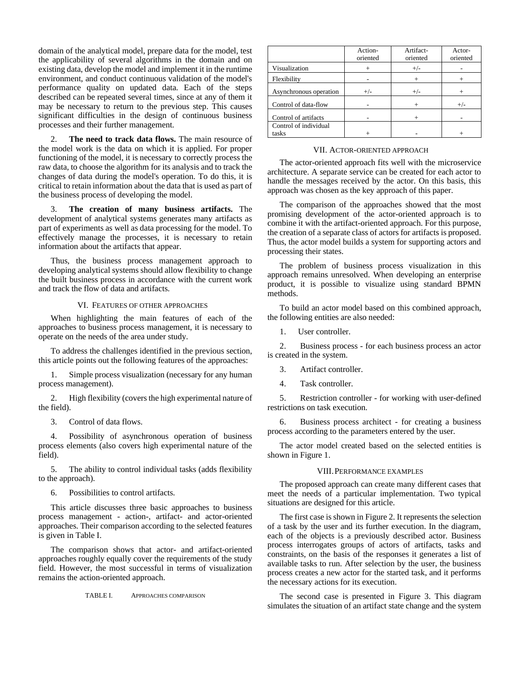domain of the analytical model, prepare data for the model, test the applicability of several algorithms in the domain and on existing data, develop the model and implement it in the runtime environment, and conduct continuous validation of the model's performance quality on updated data. Each of the steps described can be repeated several times, since at any of them it may be necessary to return to the previous step. This causes significant difficulties in the design of continuous business processes and their further management.

2. **The need to track data flows.** The main resource of the model work is the data on which it is applied. For proper functioning of the model, it is necessary to correctly process the raw data, to choose the algorithm for its analysis and to track the changes of data during the model's operation. To do this, it is critical to retain information about the data that is used as part of the business process of developing the model.

3. **The creation of many business artifacts.** The development of analytical systems generates many artifacts as part of experiments as well as data processing for the model. To effectively manage the processes, it is necessary to retain information about the artifacts that appear.

Thus, the business process management approach to developing analytical systems should allow flexibility to change the built business process in accordance with the current work and track the flow of data and artifacts.

# VI. FEATURES OF OTHER APPROACHES

When highlighting the main features of each of the approaches to business process management, it is necessary to operate on the needs of the area under study.

To address the challenges identified in the previous section, this article points out the following features of the approaches:

1. Simple process visualization (necessary for any human process management).

2. High flexibility (covers the high experimental nature of the field).

3. Control of data flows.

4. Possibility of asynchronous operation of business process elements (also covers high experimental nature of the field).

5. The ability to control individual tasks (adds flexibility to the approach).

6. Possibilities to control artifacts.

This article discusses three basic approaches to business process management - action-, artifact- and actor-oriented approaches. Their comparison according to the selected features is given in Table I.

The comparison shows that actor- and artifact-oriented approaches roughly equally cover the requirements of the study field. However, the most successful in terms of visualization remains the action-oriented approach.

TABLE I. APPROACHES COMPARISON

|                        | Action-<br>oriented | Artifact-<br>oriented | Actor-<br>oriented |
|------------------------|---------------------|-----------------------|--------------------|
| Visualization          | $^{+}$              | $+/-$                 |                    |
| Flexibility            |                     | $+$                   |                    |
| Asynchronous operation | $+/-$               | $+/-$                 |                    |
| Control of data-flow   |                     |                       | $+/-$              |
| Control of artifacts   |                     |                       |                    |
| Control of individual  |                     |                       |                    |
| tasks                  |                     |                       |                    |

#### VII. ACTOR-ORIENTED APPROACH

The actor-oriented approach fits well with the microservice architecture. A separate service can be created for each actor to handle the messages received by the actor. On this basis, this approach was chosen as the key approach of this paper.

The comparison of the approaches showed that the most promising development of the actor-oriented approach is to combine it with the artifact-oriented approach. For this purpose, the creation of a separate class of actors for artifacts is proposed. Thus, the actor model builds a system for supporting actors and processing their states.

The problem of business process visualization in this approach remains unresolved. When developing an enterprise product, it is possible to visualize using standard BPMN methods.

To build an actor model based on this combined approach, the following entities are also needed:

1. User controller.

2. Business process - for each business process an actor is created in the system.

3. Artifact controller.

4. Task controller.

5. Restriction controller - for working with user-defined restrictions on task execution.

6. Business process architect - for creating a business process according to the parameters entered by the user.

The actor model created based on the selected entities is shown in Figure 1.

#### VIII.PERFORMANCE EXAMPLES

The proposed approach can create many different cases that meet the needs of a particular implementation. Two typical situations are designed for this article.

The first case is shown in Figure 2. It represents the selection of a task by the user and its further execution. In the diagram, each of the objects is a previously described actor. Business process interrogates groups of actors of artifacts, tasks and constraints, on the basis of the responses it generates a list of available tasks to run. After selection by the user, the business process creates a new actor for the started task, and it performs the necessary actions for its execution.

The second case is presented in Figure 3. This diagram simulates the situation of an artifact state change and the system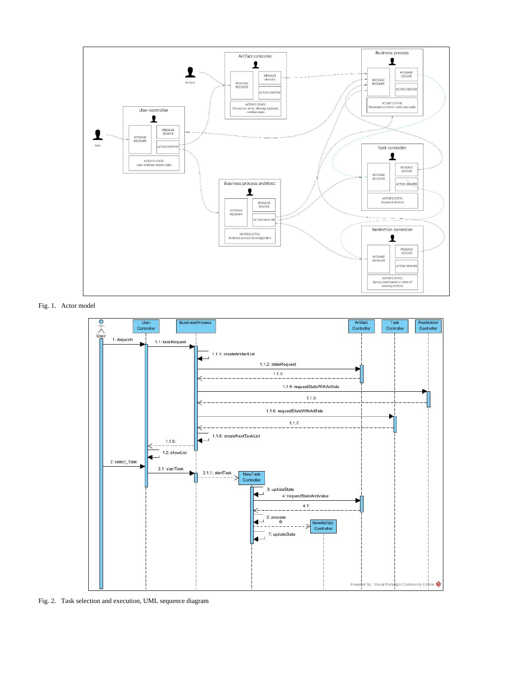

Fig. 1. Actor model



Fig. 2. Task selection and execution, UML sequence diagram